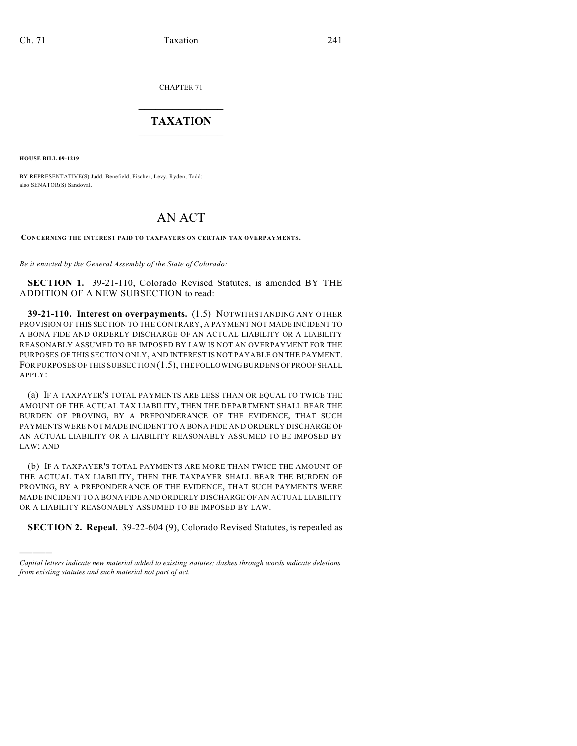CHAPTER 71

## $\mathcal{L}_\text{max}$  . The set of the set of the set of the set of the set of the set of the set of the set of the set of the set of the set of the set of the set of the set of the set of the set of the set of the set of the set **TAXATION**  $\_$

**HOUSE BILL 09-1219**

)))))

BY REPRESENTATIVE(S) Judd, Benefield, Fischer, Levy, Ryden, Todd; also SENATOR(S) Sandoval.

## AN ACT

**CONCERNING THE INTEREST PAID TO TAXPAYERS ON CERTAIN TAX OVERPAYMENTS.**

*Be it enacted by the General Assembly of the State of Colorado:*

**SECTION 1.** 39-21-110, Colorado Revised Statutes, is amended BY THE ADDITION OF A NEW SUBSECTION to read:

**39-21-110. Interest on overpayments.** (1.5) NOTWITHSTANDING ANY OTHER PROVISION OF THIS SECTION TO THE CONTRARY, A PAYMENT NOT MADE INCIDENT TO A BONA FIDE AND ORDERLY DISCHARGE OF AN ACTUAL LIABILITY OR A LIABILITY REASONABLY ASSUMED TO BE IMPOSED BY LAW IS NOT AN OVERPAYMENT FOR THE PURPOSES OF THIS SECTION ONLY, AND INTEREST IS NOT PAYABLE ON THE PAYMENT. FOR PURPOSES OF THIS SUBSECTION (1.5), THE FOLLOWING BURDENS OF PROOF SHALL APPLY:

(a) IF A TAXPAYER'S TOTAL PAYMENTS ARE LESS THAN OR EQUAL TO TWICE THE AMOUNT OF THE ACTUAL TAX LIABILITY, THEN THE DEPARTMENT SHALL BEAR THE BURDEN OF PROVING, BY A PREPONDERANCE OF THE EVIDENCE, THAT SUCH PAYMENTS WERE NOT MADE INCIDENT TO A BONA FIDE AND ORDERLY DISCHARGE OF AN ACTUAL LIABILITY OR A LIABILITY REASONABLY ASSUMED TO BE IMPOSED BY LAW; AND

(b) IF A TAXPAYER'S TOTAL PAYMENTS ARE MORE THAN TWICE THE AMOUNT OF THE ACTUAL TAX LIABILITY, THEN THE TAXPAYER SHALL BEAR THE BURDEN OF PROVING, BY A PREPONDERANCE OF THE EVIDENCE, THAT SUCH PAYMENTS WERE MADE INCIDENT TO A BONA FIDE AND ORDERLY DISCHARGE OF AN ACTUAL LIABILITY OR A LIABILITY REASONABLY ASSUMED TO BE IMPOSED BY LAW.

**SECTION 2. Repeal.** 39-22-604 (9), Colorado Revised Statutes, is repealed as

*Capital letters indicate new material added to existing statutes; dashes through words indicate deletions from existing statutes and such material not part of act.*